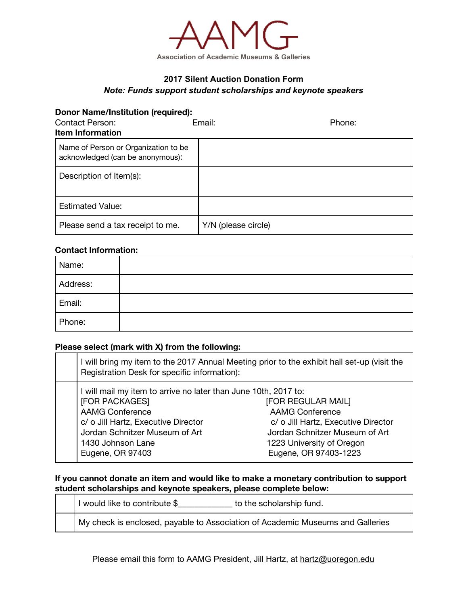

# **2017 Silent Auction Donation Form** *Note: Funds support student scholarships and keynote speakers*

#### **Donor Name/Institution (required):**

| Contact Person:<br><b>Item Information</b>                               | Email:              | Phone: |
|--------------------------------------------------------------------------|---------------------|--------|
| Name of Person or Organization to be<br>acknowledged (can be anonymous): |                     |        |
| Description of Item(s):                                                  |                     |        |
| <b>Estimated Value:</b>                                                  |                     |        |
| Please send a tax receipt to me.                                         | Y/N (please circle) |        |

#### **Contact Information:**

| Name:    |  |
|----------|--|
| Address: |  |
| Email:   |  |
| Phone:   |  |

## **Please select (mark with X) from the following:**

| I will bring my item to the 2017 Annual Meeting prior to the exhibit hall set-up (visit the<br>Registration Desk for specific information):                                                                                   |                                                                                                                                                                             |  |
|-------------------------------------------------------------------------------------------------------------------------------------------------------------------------------------------------------------------------------|-----------------------------------------------------------------------------------------------------------------------------------------------------------------------------|--|
| I will mail my item to arrive no later than June 10th, 2017 to:<br>[FOR PACKAGES]<br><b>AAMG Conference</b><br>c/ o Jill Hartz, Executive Director<br>Jordan Schnitzer Museum of Art<br>1430 Johnson Lane<br>Eugene, OR 97403 | [FOR REGULAR MAIL]<br><b>AAMG Conference</b><br>c/ o Jill Hartz, Executive Director<br>Jordan Schnitzer Museum of Art<br>1223 University of Oregon<br>Eugene, OR 97403-1223 |  |

### **If you cannot donate an item and would like to make a monetary contribution to support student scholarships and keynote speakers, please complete below:**

| I would like to contribute \$                                                  | to the scholarship fund. |
|--------------------------------------------------------------------------------|--------------------------|
| My check is enclosed, payable to Association of Academic Museums and Galleries |                          |

Please email this form to AAMG President, Jill Hartz, at hartz@uoregon.edu